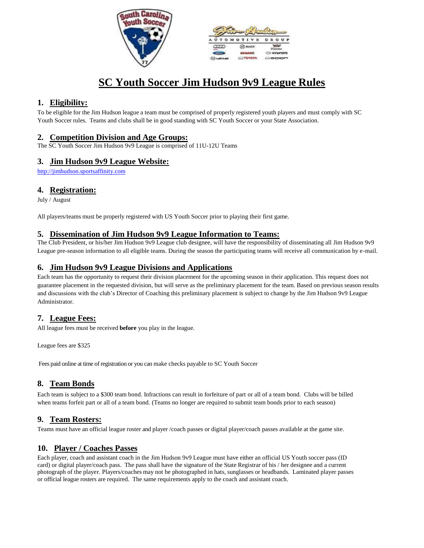



# **SC Youth Soccer Jim Hudson 9v9 League Rules**

# **1. Eligibility:**

To be eligible for the Jim Hudson league a team must be comprised of properly registered youth players and must comply with SC Youth Soccer rules. Teams and clubs shall be in good standing with SC Youth Soccer or your State Association.

## **2. Competition Division and Age Groups:**

The SC Youth Soccer Jim Hudson 9v9 League is comprised of 11U-12U Teams

## **3. Jim Hudson 9v9 League Website:**

http://jimhudson.sportsaffinity.com

## **4. Registration:**

July / August

All players/teams must be properly registered with US Youth Soccer prior to playing their first game.

## **5. Dissemination of Jim Hudson 9v9 League Information to Teams:**

The Club President, or his/her Jim Hudson 9v9 League club designee, will have the responsibility of disseminating all Jim Hudson 9v9 League pre-season information to all eligible teams. During the season the participating teams will receive all communication by e-mail.

## **6. Jim Hudson 9v9 League Divisions and Applications**

Each team has the opportunity to request their division placement for the upcoming season in their application. This request does not guarantee placement in the requested division, but will serve as the preliminary placement for the team. Based on previous season results and discussions with the club's Director of Coaching this preliminary placement is subject to change by the Jim Hudson 9v9 League Administrator.

## **7. League Fees:**

All league fees must be received **before** you play in the league.

League fees are \$325

Fees paid online at time of registration or you can make checks payable to SC Youth Soccer

## **8. Team Bonds**

Each team is subject to a \$300 team bond. Infractions can result in forfeiture of part or all of a team bond. Clubs will be billed when teams forfeit part or all of a team bond. (Teams no longer are required to submit team bonds prior to each season)

## **9. Team Rosters:**

Teams must have an official league roster and player /coach passes or digital player/coach passes available at the game site.

## **10. Player / Coaches Passes**

Each player, coach and assistant coach in the Jim Hudson 9v9 League must have either an official US Youth soccer pass (ID card) or digital player/coach pass. The pass shall have the signature of the State Registrar of his / her designee and a current photograph of the player. Players/coaches may not be photographed in hats, sunglasses or headbands. Laminated player passes or official league rosters are required. The same requirements apply to the coach and assistant coach.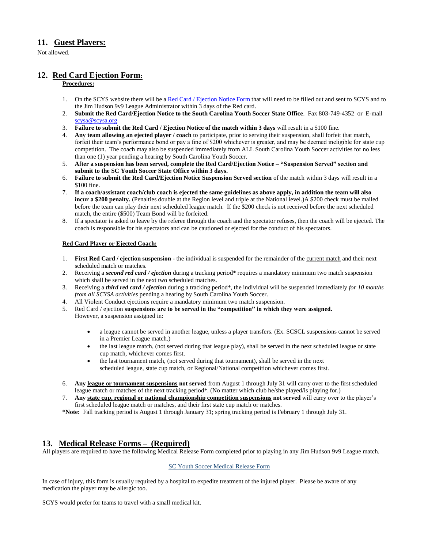## **11. Guest Players:**

Not allowed.

## **12. Red Card Ejection Form:**

#### **Procedures:**

- 1. On the SCYS website there will be a Red Card [/ Ejection](http://www.scysa.org/UserFiles/file/RedCardEjectionNotice6_10_13Rev.doc) Notice Form that will need to be filled out and sent to SCYS and to the Jim Hudson 9v9 League Administrator within 3 days of the Red card.
- 2. **Submit the Red Card/Ejection Notice to the South Carolina Youth Soccer State Office**. Fax 803-749-4352 or E-mail [scysa@scysa.org](mailto:scysa@scysa.org)
- 3. **Failure to submit the Red Card / Ejection Notice of the match within 3 days** will result in a \$100 fine.
- 4. **Any team allowing an ejected player / coach** to participate, prior to serving their suspension, shall forfeit that match, forfeit their team's performance bond or pay a fine of \$200 whichever is greater, and may be deemed ineligible for state cup competition. The coach may also be suspended immediately from ALL South Carolina Youth Soccer activities for no less than one (1) year pending a hearing by South Carolina Youth Soccer.
- 5. **After a suspension has been served, complete the Red Card/Ejection Notice – "Suspension Served" section and submit to the SC Youth Soccer State Office within 3 days.**
- 6. **Failure to submit the Red Card/Ejection Notice Suspension Served section** of the match within 3 days will result in a \$100 fine.
- 7. **If a coach/assistant coach/club coach is ejected the same guidelines as above apply, in addition the team will also incur a \$200 penalty.** (Penalties double at the Region level and triple at the National level.)A \$200 check must be mailed before the team can play their next scheduled league match. If the \$200 check is not received before the next scheduled match, the entire (\$500) Team Bond will be forfeited.
- 8. If a spectator is asked to leave by the referee through the coach and the spectator refuses, then the coach will be ejected. The coach is responsible for his spectators and can be cautioned or ejected for the conduct of his spectators.

#### **Red Card Player or Ejected Coach:**

- 1. **First Red Card / ejection suspension -** the individual is suspended for the remainder of the current match and their next scheduled match or matches.
- 2. Receiving a *second red card / ejection* during a tracking period\* requires a mandatory minimum two match suspension which shall be served in the next two scheduled matches.
- 3. Receiving a *third red card / ejection* during a tracking period\*, the individual will be suspended immediately *for 10 months from all SCYSA activities* pending a hearing by South Carolina Youth Soccer.
- 4. All Violent Conduct ejections require a mandatory minimum two match suspension.
- 5. Red Card / ejection **suspensions are to be served in the "competition" in which they were assigned.** However, a suspension assigned in:
	- a league cannot be served in another league, unless a player transfers. (Ex. SCSCL suspensions cannot be served in a Premier League match.)
	- the last league match, (not served during that league play), shall be served in the next scheduled league or state cup match, whichever comes first.
	- the last tournament match, (not served during that tournament), shall be served in the next scheduled league, state cup match, or Regional/National competition whichever comes first.
- 6. **Any league or tournament suspensions not served** from August 1 through July 31 will carry over to the first scheduled league match or matches of the next tracking period\*. (No matter which club he/she played/is playing for.)
- 7. **Any state cup, regional or national championship competition suspensions not served** will carry over to the player's first scheduled league match or matches, and their first state cup match or matches.

**\*Note:** Fall tracking period is August 1 through January 31; spring tracking period is February 1 through July 31.

## **13. Medical Release Forms – (Required)**

All players are required to have the following Medical Release Form completed prior to playing in any Jim Hudson 9v9 League match.

#### [SC Youth Soccer Medical Release](https://usys-assets.ae-admin.com/assets/962/15/Medical%20release%20form1.PDF) Form

In case of injury, this form is usually required by a hospital to expedite treatment of the injured player. Please be aware of any medication the player may be allergic too.

SCYS would prefer for teams to travel with a small medical kit.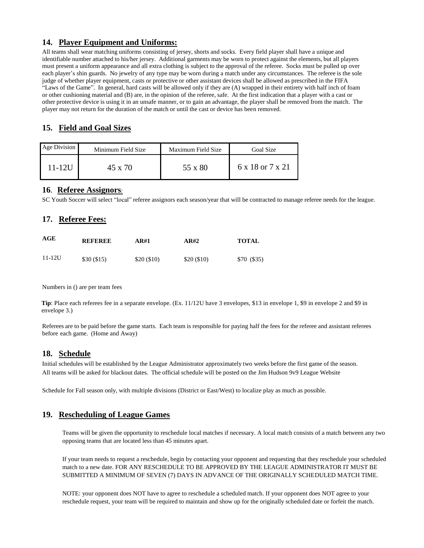## **14. Player Equipment and Uniforms:**

All teams shall wear matching uniforms consisting of jersey, shorts and socks. Every field player shall have a unique and identifiable number attached to his/her jersey. Additional garments may be worn to protect against the elements, but all players must present a uniform appearance and all extra clothing is subject to the approval of the referee. Socks must be pulled up over each player's shin guards. No jewelry of any type may be worn during a match under any circumstances. The referee is the sole judge of whether player equipment, casts or protective or other assistant devices shall be allowed as prescribed in the FIFA "Laws of the Game". In general, hard casts will be allowed only if they are (A) wrapped in their entirety with half inch of foam or other cushioning material and (B) are, in the opinion of the referee, safe. At the first indication that a player with a cast or other protective device is using it in an unsafe manner, or to gain an advantage, the player shall be removed from the match. The player may not return for the duration of the match or until the cast or device has been removed.

# **15. Field and Goal Sizes**

| Age Division | Minimum Field Size | Maximum Field Size | Goal Size        |
|--------------|--------------------|--------------------|------------------|
| $11 - 12U$   | 45 x 70            | 55 x 80            | 6 x 18 or 7 x 21 |

#### **16**. **Referee Assignors**:

SC Youth Soccer will select "local" referee assignors each season/year that will be contracted to manage referee needs for the league.

## **17. Referee Fees:**

| AGE        | <b>REFEREE</b> | AR#1       | AR#2       | <b>TOTAL</b> |
|------------|----------------|------------|------------|--------------|
| $11 - 12U$ | \$30(\$15)     | \$20(\$10) | \$20(\$10) | \$70 (\$35)  |

Numbers in () are per team fees

**Tip**: Place each referees fee in a separate envelope. (Ex. 11/12U have 3 envelopes, \$13 in envelope 1, \$9 in envelope 2 and \$9 in envelope 3.)

Referees are to be paid before the game starts. Each team is responsible for paying half the fees for the referee and assistant referees before each game. (Home and Away)

## **18. Schedule**

Initial schedules will be established by the League Administrator approximately two weeks before the first game of the season. All teams will be asked for blackout dates. The official schedule will be posted on the Jim Hudson 9v9 League Website

Schedule for Fall season only, with multiple divisions (District or East/West) to localize play as much as possible.

## **19. Rescheduling of League Games**

Teams will be given the opportunity to reschedule local matches if necessary. A local match consists of a match between any two opposing teams that are located less than 45 minutes apart.

If your team needs to request a reschedule, begin by contacting your opponent and requesting that they reschedule your scheduled match to a new date. FOR ANY RESCHEDULE TO BE APPROVED BY THE LEAGUE ADMINISTRATOR IT MUST BE SUBMITTED A MINIMUM OF SEVEN (7) DAYS IN ADVANCE OF THE ORIGINALLY SCHEDULED MATCH TIME.

NOTE: your opponent does NOT have to agree to reschedule a scheduled match. If your opponent does NOT agree to your reschedule request, your team will be required to maintain and show up for the originally scheduled date or forfeit the match.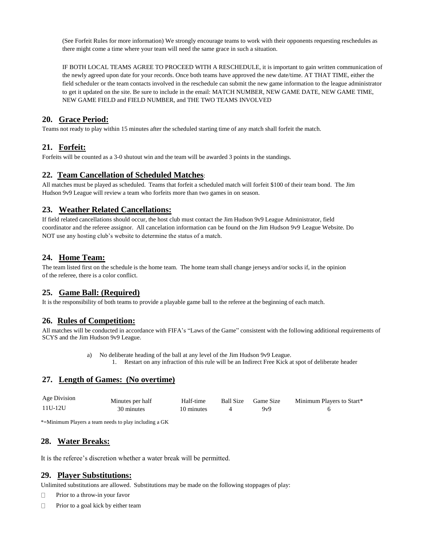(See Forfeit Rules for more information) We strongly encourage teams to work with their opponents requesting reschedules as there might come a time where your team will need the same grace in such a situation.

IF BOTH LOCAL TEAMS AGREE TO PROCEED WITH A RESCHEDULE, it is important to gain written communication of the newly agreed upon date for your records. Once both teams have approved the new date/time. AT THAT TIME, either the field scheduler or the team contacts involved in the reschedule can submit the new game information to the league administrator to get it updated on the site. Be sure to include in the email: MATCH NUMBER, NEW GAME DATE, NEW GAME TIME, NEW GAME FIELD and FIELD NUMBER, and THE TWO TEAMS INVOLVED

## **20. Grace Period:**

Teams not ready to play within 15 minutes after the scheduled starting time of any match shall forfeit the match.

## **21. Forfeit:**

Forfeits will be counted as a 3-0 shutout win and the team will be awarded 3 points in the standings.

## **22. Team Cancellation of Scheduled Matches**:

All matches must be played as scheduled. Teams that forfeit a scheduled match will forfeit \$100 of their team bond. The Jim Hudson 9v9 League will review a team who forfeits more than two games in on season.

## **23. Weather Related Cancellations:**

If field related cancellations should occur, the host club must contact the Jim Hudson 9v9 League Administrator, field coordinator and the referee assignor. All cancelation information can be found on the Jim Hudson 9v9 League Website. Do NOT use any hosting club's website to determine the status of a match.

## **24. Home Team:**

The team listed first on the schedule is the home team. The home team shall change jerseys and/or socks if, in the opinion of the referee, there is a color conflict.

## **25. Game Ball: (Required)**

It is the responsibility of both teams to provide a playable game ball to the referee at the beginning of each match.

## **26. Rules of Competition:**

All matches will be conducted in accordance with FIFA's "Laws of the Game" consistent with the following additional requirements of SCYS and the Jim Hudson 9v9 League.

> a) No deliberate heading of the ball at any level of the Jim Hudson 9v9 League. 1. Restart on any infraction of this rule will be an Indirect Free Kick at spot of deliberate header

## **27. Length of Games: (No overtime)**

| Age Division | Minutes per half | Half-time  | Ball Size Game Size | Minimum Players to Start* |
|--------------|------------------|------------|---------------------|---------------------------|
| 11U-12U      | 30 minutes       | 10 minutes | $Q_VQ$              |                           |

\*=Minimum Players a team needs to play including a GK

## **28. Water Breaks:**

It is the referee's discretion whether a water break will be permitted.

## **29. Player Substitutions:**

Unlimited substitutions are allowed. Substitutions may be made on the following stoppages of play:

- **Prior to a throw-in your favor**
- $\Box$  Prior to a goal kick by either team